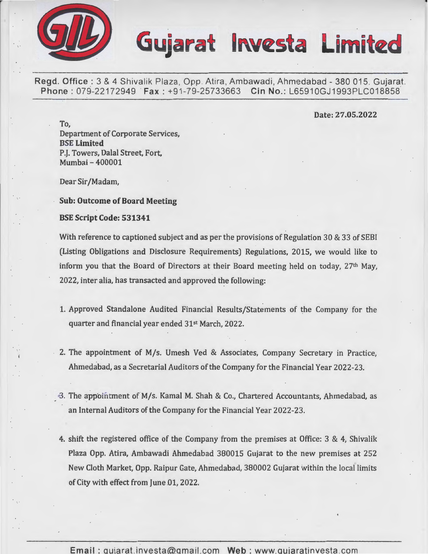

Regd. Office : 3 & 4 Shivalik Plaza, Opp. Atira, Ambawadi, Ahmedabad - 380 015. Gujarat.<br>Phone : 079-22172949 Fax : +91-79-25733663 Cin No.: L65910GJ1993PLC018858 Phone: 079-22172949 Fax: +91-79-25733663

#### Date: 27.05.2022

To, Department of Corporate Services, BSE Limited P.J. Towers, Dalal Street, Fort, Mumbai- 400001

Dear Sir /Madam,

Sub: Outcome of Board Meeting

#### BSE Script Code: 531341

With reference to captioned subject and as per the provisions of Regulation 30 & 33 of SEBI (Listing Obligations and Disclosure Requirements) Regulations, 2015, we would like to inform you that the Board of Directors at their Board meeting held on today, 27th May, 2022, inter alia, has transacted and approved the following:

- 1. Approved Standalone Audited Financial Results/Statements of the Company for the quarter and financial year ended 31st March, 2022.
- 2. The appointment of *Mfs.* Umesh Ved & Associates, Company Secretary in Practice, Ahmedabad, as a Secretarial Auditors of the Company for the Financial Year 2022-23.
- <sup>3</sup>. The appointment of M/s. Kamal M. Shah & Co., Chartered Accountants, Ahmedabad, as an Internal Auditors of the Company for the Financial Year 2022-23.
- 4. shift the registered office of the Company from the premises at Office: 3 & 4, Shivalik Plaza Opp. Atira, Ambawadi Ahmedabad 380015 Gujarat to the new premises at 252 New Cloth Market, Opp. Raipur Gate, Ahmedabad, 380002 Gujarat within the local limits of City with effect from June 01, 2022.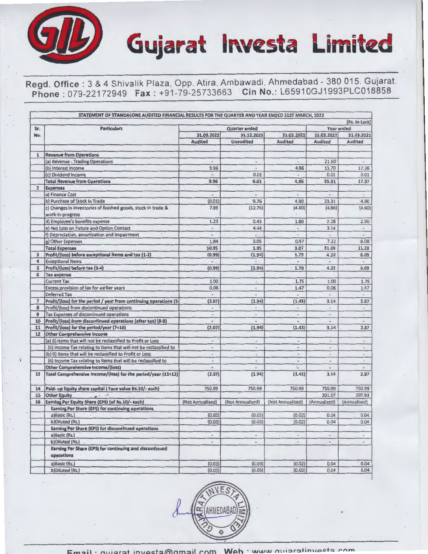### Regd. Office : 3 & 4 Shivalik Plaza, Opp. Atira, Ambawadi, Ahmedabad - 380 015. Gujarat. **Phone:** 079-22172949 **Fax:** +91-79-25733663 . **Cin No.:** L65910GJ1993PLC018858

Gujarat **Investa Limited** 

|                | STATEMENT OF STANDALONE AUDITED FINANCIAL RESULTS FOR THE QUARTER AND YEAR ENDED 31ST MARCH, 2022 |                                 |                          |                          |                          | [Rs. In Lacs]            |
|----------------|---------------------------------------------------------------------------------------------------|---------------------------------|--------------------------|--------------------------|--------------------------|--------------------------|
| Sr.            | <b>Particulars</b>                                                                                |                                 | <b>Quarter ended</b>     |                          |                          | Year ended               |
| No.            |                                                                                                   | 31.03.2022                      | 31.12.2021               | 31.03.2021               | 31.03.2022               | 31.03.2021               |
|                |                                                                                                   | <b>Audited</b>                  | <b>Unaudited</b>         | <b>Audited</b>           | <b>Audited</b>           | Audited                  |
|                |                                                                                                   |                                 |                          |                          |                          |                          |
| $\mathbf{1}$   | <b>Revenue from Operations</b>                                                                    |                                 |                          |                          |                          |                          |
|                | (a) Revenue - Trading Operations                                                                  |                                 | $\overline{\phantom{a}}$ | L.                       | 21.60                    |                          |
|                | (b) Interest Income                                                                               | 9.96                            | $\ddot{\phantom{1}}$     | 4.86                     | 13.70                    | 17.36                    |
|                | (c) Dividend Income                                                                               | $\overline{\phantom{a}}$        | 0.01                     | $\overline{\phantom{a}}$ | 0.01                     | 0.01                     |
|                | <b>Total Revenue from Operations</b>                                                              | 9.96                            | 0.01                     | 4.86                     | 35.31                    | 17.37                    |
| $\overline{2}$ | <b>Expenses</b>                                                                                   |                                 |                          |                          |                          |                          |
|                | a) Finance Cost                                                                                   | $\overline{\phantom{a}}$        | $\hbox{ }$               | $\blacksquare$           | $_{\ast}$                | $\overline{\phantom{a}}$ |
|                | b) Purchase of Stock In Trade                                                                     | (0.01)                          | 9.76                     | 4.90                     | 23.31                    | 4.90                     |
|                | c) Changes in inventories of finished goods, stock in trade &                                     | 7.89                            | (12.75)                  | (4.60)                   | (4.86)                   | (4.60)                   |
|                | work-in-progress                                                                                  |                                 |                          |                          |                          |                          |
|                | d) Employee's benefits expense                                                                    | 1.23                            | 0.45                     | 1.80                     | 2.28                     | 2.90                     |
|                | e) Net Loss on Future and Option Contact                                                          | $\blacksquare$                  | 4.44                     | $\overline{\phantom{a}}$ | 3.14                     | $\overline{\phantom{a}}$ |
|                | f) Depreciation, amortization and impairment                                                      |                                 |                          |                          | $\overline{a}$           |                          |
|                | g) Other Expenses                                                                                 | 1.84                            | 0.05                     | 0.97                     | 7.22                     | 8.08                     |
|                | <b>Total Expenses</b>                                                                             | 10.95                           | 1.95                     | 3.07                     | 31.09                    | 11.28                    |
| 3              | Profit/(loss) before exceptional items and tax (1-2)                                              | (0.99)                          | (1.94)                   | 1.79                     | 4.22                     | 6.09                     |
| 4              | <b>Exceptional Items</b>                                                                          | $\centering \label{eq:reduced}$ | $\overline{\phantom{m}}$ | $\frac{1}{2}$            | $\overline{\phantom{0}}$ |                          |
| 5              | Profit/(loss) before tax (3-4)                                                                    | (0.99)                          | (1.94)                   | 1.79                     | 4.22                     | 6.09                     |
| 6              | <b>Tax expense</b>                                                                                |                                 |                          |                          |                          |                          |
|                | <b>Current Tax</b>                                                                                | 1.00                            | $\blacksquare$           | 1.75                     | 1.00                     | 1.75                     |
|                | Excess provision of tax for earlier years                                                         | 0.08                            | $\frac{1}{2}$            | 1.47                     | 0.08                     | 1.47                     |
|                | <b>Deferred Tax</b>                                                                               | $\overline{\phantom{a}}$        | $\overline{\phantom{a}}$ | ÷,                       | $\overline{a}$           | $\overline{\phantom{a}}$ |
| 7              | Profit/(loss) for the period / year from continuing operations (5-                                | (2.07)                          | (1.94)                   | (1.43)                   | 3.14                     | 2.87                     |
| 8              | Profit/(loss) from discontinued operations                                                        | $\centering \label{eq:reduced}$ | $\overline{\phantom{a}}$ | $\overline{a}$           | $\frac{1}{2}$            | $\overline{\phantom{a}}$ |
| $\overline{9}$ | Tax Expenses of discontinued operations                                                           | $\ddot{\phantom{0}}$            | $\blacksquare$           | $\overline{a}$           | u,                       | $\overline{\phantom{a}}$ |
| 10             | Profit/(loss) from discontinued operations (after tax) (8-9)                                      | $\bullet$                       | $\hbox{ }$               | ٠                        | $\overline{\phantom{a}}$ | $\overline{\phantom{a}}$ |
| 11             | Profit/(loss) for the period/year (7+10)                                                          | (2.07)                          | (1.94)                   | (1.43)                   | 3.14                     | 2.87                     |
| 12             | <b>Other Comprehensive Income</b>                                                                 |                                 |                          |                          |                          |                          |
|                | (a) (i) Items that will not be reclassified to Profit or Loss                                     | $\ddot{\phantom{1}}$            | $\blacksquare$           | $\sim$                   | $\overline{\phantom{a}}$ | $\overline{\phantom{a}}$ |
|                | (ii) Income Tax relating to items that will not be reclassified to                                | $\overline{\phantom{a}}$        | $\overline{\phantom{a}}$ | $\overline{a}$           | $\overline{a}$           | $\overline{\phantom{a}}$ |
|                | (b) (i) Items that will be reclassified to Profit or Loss                                         | $\overline{a}$                  | $\frac{1}{2}$            |                          |                          | ÷.                       |
|                | (ii) Income Tax relating to items that will be reclassified to                                    | $\overline{a}$                  | $\overline{a}$           | ٠                        | $\overline{a}$           | $\tilde{\phantom{a}}$    |
|                | <b>Other Comprehensive Income/(loss)</b>                                                          | $\blacksquare$                  | $\blacksquare$           | ٠.                       | $\overline{a}$           | $\overline{a}$           |
| 13             | Total Comprehensive Income/(loss) for the period/year (11+12)                                     | (2.07)                          | (1.94)                   | (1.43)                   | 3.14                     | 2.87                     |
| 14             | Paid- up Equity share capital (Face value Rs.10/- each)                                           | 750.99                          | 750.99                   | 750.99                   | 750.99                   | 750.99                   |
| 15             | <b>Other Equity</b><br>$\cdot$ $\cdot$ $\cdot$ $\cdot$                                            |                                 |                          |                          | 301.07                   | 297.93                   |
| 16             | Earning Per Equity Share (EPS) (of Rs.10/- each)                                                  | (Not Annualised)                | (Not Annualised)         | (Not Annualised)         | (Annualised)             | (Annualised)             |
|                | Earning Per Share (EPS) for continuing operations                                                 |                                 |                          |                          |                          |                          |
|                | a)Basic (Rs.)                                                                                     | (0.03)                          | (0.03)                   | (0.02)                   | 0.04                     | 0.04                     |
|                | b)Diluted (Rs.)                                                                                   | (0.03)                          | (0.03)                   | (0.02)                   | 0.04                     | 0.04                     |
|                | Earning Per Share (EPS) for discontinued operations                                               |                                 |                          |                          |                          |                          |
|                | a)Basic (Rs.)                                                                                     | $\hbox{ }$                      | $\overline{\phantom{a}}$ | $\bullet$                | $\overline{\phantom{a}}$ | $\blacksquare$           |
|                | b)Diluted (Rs.)                                                                                   | $\overline{\phantom{a}}$        | $\overline{\phantom{a}}$ | $\overline{\phantom{a}}$ | $\overline{\phantom{a}}$ | $\overline{\phantom{m}}$ |
|                | Earning Per Share (EPS) for continuing and discontinued<br>operations                             |                                 |                          |                          |                          |                          |
|                | a)Basic (Rs.)                                                                                     | (0.03)                          | (0.03)                   | (0.02)                   | 0.04                     | 0.04                     |
|                | b)Diluted (Rs.)                                                                                   | (0.03)                          | (0.03)                   | (0.02)                   | 0.04                     | 0.04                     |

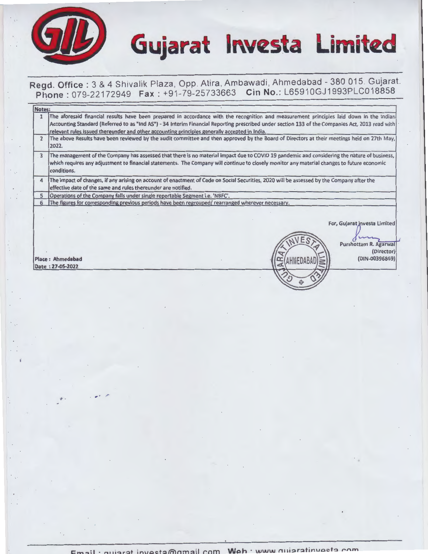



 $\frac{1}{6}$  -  $\frac{6}{9}$ 

### Regd. Office: 3 & 4 Shivalik Plaza, Opp. Atira, Ambawadi, Ahmedabad - 380 015. Gujarat. Phone: 079-22172949 Fax: +91-79-25733663 Cin No.: L65910GJ1993PLC018858

| The aforesaid financial results have been prepared in accordance with the recognition and measurement principles laid down in the Indian<br>Accounting Standard (Referred to as "Ind AS") - 34 Interim Financial Reporting prescribed under section 133 of the Companies Act, 2013 read with<br>relevant rules issued thereunder and other accounting principles generally accepted in India. |                                                                                       |  |  |
|-----------------------------------------------------------------------------------------------------------------------------------------------------------------------------------------------------------------------------------------------------------------------------------------------------------------------------------------------------------------------------------------------|---------------------------------------------------------------------------------------|--|--|
|                                                                                                                                                                                                                                                                                                                                                                                               |                                                                                       |  |  |
| The above Results have been reviewed by the audit committee and then approved by the Board of Directors at their meetings held on 27th May,                                                                                                                                                                                                                                                   |                                                                                       |  |  |
| The management of the Company has assessed that there is no material impact due to COVID 19 pandemic and considering the nature of business,<br>which requires any adjustment to financial statements. The Company will continue to closely monitor any material changes to future economic                                                                                                   |                                                                                       |  |  |
| The impact of changes, if any arising on account of enactment of Code on Social Securities, 2020 will be assessed by the Company after the<br>$\overline{4}$<br>effective date of the same and rules thereunder are notified.                                                                                                                                                                 |                                                                                       |  |  |
|                                                                                                                                                                                                                                                                                                                                                                                               |                                                                                       |  |  |
| The figures for corresponding previous periods have been regrouped/ rearranged wherever necessary.                                                                                                                                                                                                                                                                                            |                                                                                       |  |  |
|                                                                                                                                                                                                                                                                                                                                                                                               | For, Gujarat Investa Limited<br>Purshottam R. Agarwal<br>(Director)<br>(DIN-00396869) |  |  |
|                                                                                                                                                                                                                                                                                                                                                                                               |                                                                                       |  |  |

 $\cdot$  .  $\cdot$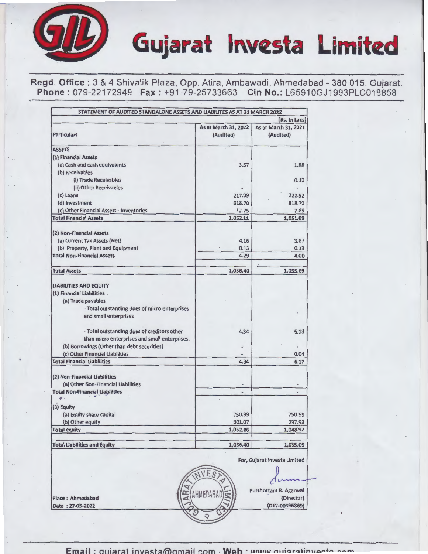Regd. Office: 3 & 4 Shivalik Plaza, Opp. Atira, Ambawadi, Ahmedabad - 380 015. Gujarat. Phone: 079-22172949 Fax: +91-79-25733663 Cin No.: L65910GJ1993PLC018858

| STATEMENT OF AUDITED STANDALONE ASSETS AND LIABILITES AS AT 31 MARCH 2022                                                                                    |                                   | [Rs. In Lacs]                                         |
|--------------------------------------------------------------------------------------------------------------------------------------------------------------|-----------------------------------|-------------------------------------------------------|
| <b>Particulars</b>                                                                                                                                           | As at March 31, 2022<br>(Audited) | As at March 31, 2021<br>(Audited)                     |
| <b>ASSETS</b>                                                                                                                                                |                                   |                                                       |
| (1) Financial Assets                                                                                                                                         |                                   |                                                       |
| (a) Cash and cash equivalents                                                                                                                                | 3.57                              | 1.88                                                  |
| (b) Receivables                                                                                                                                              |                                   |                                                       |
| (i) Trade Receivables                                                                                                                                        |                                   | 0.10                                                  |
| (ii) Other Receivables                                                                                                                                       |                                   |                                                       |
| (c) Loans                                                                                                                                                    | 217.09                            | 222.52                                                |
| (d) Investment                                                                                                                                               | 818.70                            | 818.70                                                |
| (e) Other Financial Assets - Inventories                                                                                                                     | 12.75                             | 7.89                                                  |
| <b>Total Financial Assets</b>                                                                                                                                | 1,052.11                          | 1,051.09                                              |
| (2) Non-Financial Assets                                                                                                                                     |                                   |                                                       |
| (a) Current Tax Assets (Net)                                                                                                                                 | 4.16                              | 3.87                                                  |
| (b) Property, Plant and Equipment                                                                                                                            | 0.13                              | 0.13                                                  |
| <b>Total Non-Financial Assets</b>                                                                                                                            | 4.29                              | 4.00                                                  |
| <b>Total Assets</b>                                                                                                                                          | 1,056.40                          | 1,055.09                                              |
| <b>LIABILITIES AND EQUITY</b><br>(1) Financial Liabilities .<br>(a) Trade payables<br>- Total outstanding dues of micro enterprises<br>and small enterprises |                                   |                                                       |
| - Total outstanding dues of creditors other<br>than micro enterprises and small enterprises.                                                                 | 4.34                              | 6.13                                                  |
| (b) Borrowings (Other than debt securities)                                                                                                                  |                                   |                                                       |
| (c) Other Financial Liabilities                                                                                                                              |                                   | 0.04                                                  |
| <b>Total Financial Liabilities</b>                                                                                                                           | 4.34                              | 6.17                                                  |
| (2) Non-Financial Liabilities<br>(a) Other Non-Financial Liabilities<br><b>Total Non-Financial Liabilities</b>                                               | $\qquad \qquad$<br>$\overline{a}$ | $\overline{\phantom{0}}$<br>$\overline{a}$            |
| $\mathbf{r}$ .                                                                                                                                               |                                   |                                                       |
| (3) Equity                                                                                                                                                   |                                   |                                                       |
| (a) Equity share capital                                                                                                                                     | 750.99                            | 750.99                                                |
| (b) Other equity<br><b>Total equity</b>                                                                                                                      | 301.07<br>1,052.06                | 297.93<br>1,048.92                                    |
|                                                                                                                                                              |                                   |                                                       |
| <b>Total Liabilities and Equity</b>                                                                                                                          | 1,056.40                          | 1,055.09                                              |
|                                                                                                                                                              |                                   | For, Gujarat Investa Limited                          |
| <b>AR</b><br><b>Place: Ahmedabad</b><br>Date: 27-05-2022                                                                                                     |                                   | Purshottam R. Agarwal<br>(Director)<br>(DIN-00396869) |

 $\mathbb{Z}^3$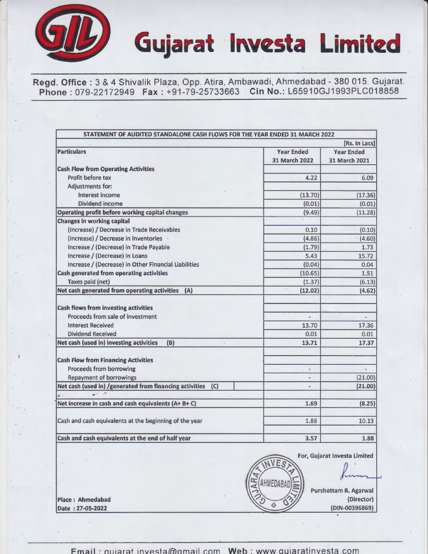

Regd. Office: 3 & 4 Shivalik Plaza, Opp. Atira, Ambawadi, Ahmedabad - 380 015. Gujarat. Phone : 079-22172949 Fax : +91-79-25733663 Cin No.: L65910GJ1993PLC018858

|                                                                                                                                                                               | [Rs. In Lacs]                      |                                    |  |  |  |  |
|-------------------------------------------------------------------------------------------------------------------------------------------------------------------------------|------------------------------------|------------------------------------|--|--|--|--|
| <b>Particulars</b>                                                                                                                                                            | <b>Year Ended</b><br>31 March 2022 | <b>Year Ended</b><br>31 March 2021 |  |  |  |  |
| <b>Cash Flow from Operating Activities</b>                                                                                                                                    |                                    |                                    |  |  |  |  |
| Profit before tax                                                                                                                                                             | 4.22                               | 6.09                               |  |  |  |  |
| Adjustments for:                                                                                                                                                              |                                    |                                    |  |  |  |  |
| Interest income                                                                                                                                                               | (13.70)                            | (17.36)                            |  |  |  |  |
| Dividend income                                                                                                                                                               | (0.01)                             | (0.01)                             |  |  |  |  |
| Operating profit before working capital changes                                                                                                                               | (9.49)                             | (11.28)                            |  |  |  |  |
| <b>Changes in working capital</b>                                                                                                                                             |                                    |                                    |  |  |  |  |
| (Increase) / Decrease in Trade Receivables                                                                                                                                    | 0.10                               | (0.10)                             |  |  |  |  |
| (Increase) / Decrease in Inventories .                                                                                                                                        | (4.86)                             | (4.60)                             |  |  |  |  |
| Increase / (Decrease) in Trade Payable                                                                                                                                        | (1.79)                             | 1.73                               |  |  |  |  |
| Increase / (Decrease) in Loans                                                                                                                                                | 5.43                               | 15.72                              |  |  |  |  |
| Increase / (Decrease) in Other Financial Liabilities                                                                                                                          | (0.04)                             | 0.04                               |  |  |  |  |
| Cash generated from operating activities                                                                                                                                      | (10.65)                            | 1.51                               |  |  |  |  |
| Taxes paid (net)                                                                                                                                                              | (1.37)                             | (6.13)                             |  |  |  |  |
| Net cash generated from operating activities<br>(A)                                                                                                                           | (12.02)                            | (4.62)                             |  |  |  |  |
| <b>Cash flows from investing activities</b>                                                                                                                                   |                                    |                                    |  |  |  |  |
| Proceeds from sale of investment                                                                                                                                              |                                    |                                    |  |  |  |  |
| <b>Interest Received</b>                                                                                                                                                      | 13.70                              | 17.36                              |  |  |  |  |
| <b>Dividend Received</b>                                                                                                                                                      | 0.01                               | 0.01                               |  |  |  |  |
| Net cash (used in) investing activities<br>(B)                                                                                                                                | 13.71                              | 17.37                              |  |  |  |  |
|                                                                                                                                                                               |                                    |                                    |  |  |  |  |
|                                                                                                                                                                               |                                    |                                    |  |  |  |  |
|                                                                                                                                                                               |                                    |                                    |  |  |  |  |
| Proceeds from borrowing                                                                                                                                                       |                                    | $\blacksquare$                     |  |  |  |  |
| <b>Repayment of borrowings</b>                                                                                                                                                |                                    | (21.00)                            |  |  |  |  |
| (C)                                                                                                                                                                           |                                    | (21.00)                            |  |  |  |  |
| $\sim$ $\sim$ $\sim$ $\sim$                                                                                                                                                   |                                    |                                    |  |  |  |  |
| <b>Cash Flow from Financing Activities</b><br>Net cash (used in) /generated from financing activities<br>$\mathbf{p}$ .<br>Net increase in cash and cash equivalents (A+ B+C) | 1.69                               | (8.25)                             |  |  |  |  |
| Cash and cash equivalents at the beginning of the year                                                                                                                        | 1.88                               | 10.13                              |  |  |  |  |

Date: 27-05-2022

 $Fmail:$  quiarat investa $@$ amail.com  $Web:$  www. quiaratinvesta.com

(Director)<br>(DIN-00396869)